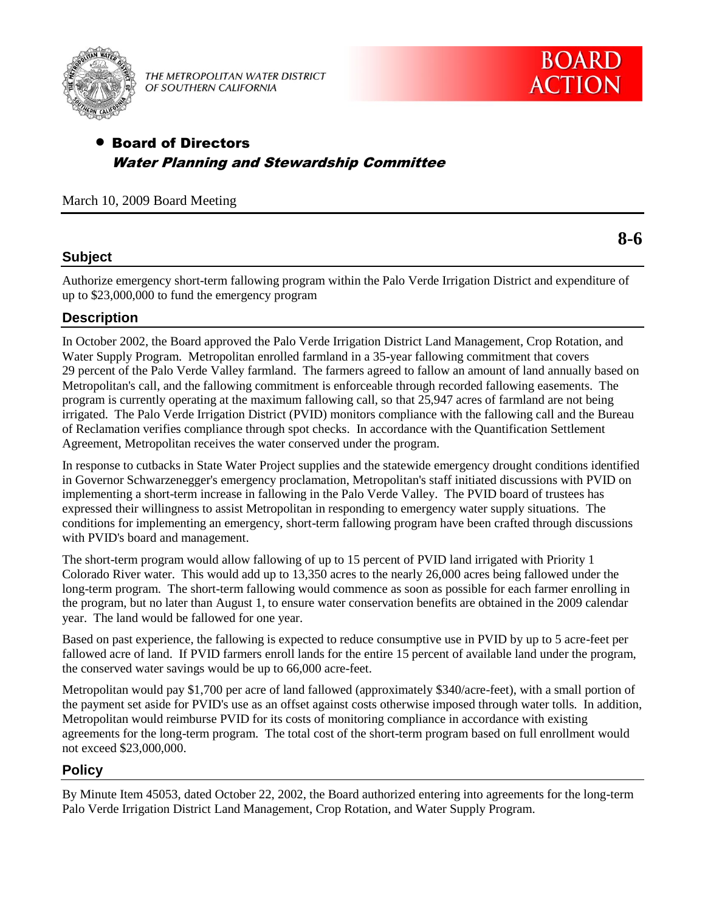

THE METROPOLITAN WATER DISTRICT OF SOUTHERN CALIFORNIA

**8-6**

## Board of Directors Water Planning and Stewardship Committee

March 10, 2009 Board Meeting

### **Subject**

Authorize emergency short-term fallowing program within the Palo Verde Irrigation District and expenditure of up to \$23,000,000 to fund the emergency program

### **Description**

In October 2002, the Board approved the Palo Verde Irrigation District Land Management, Crop Rotation, and Water Supply Program. Metropolitan enrolled farmland in a 35-year fallowing commitment that covers 29 percent of the Palo Verde Valley farmland. The farmers agreed to fallow an amount of land annually based on Metropolitan's call, and the fallowing commitment is enforceable through recorded fallowing easements. The program is currently operating at the maximum fallowing call, so that 25,947 acres of farmland are not being irrigated. The Palo Verde Irrigation District (PVID) monitors compliance with the fallowing call and the Bureau of Reclamation verifies compliance through spot checks. In accordance with the Quantification Settlement Agreement, Metropolitan receives the water conserved under the program.

In response to cutbacks in State Water Project supplies and the statewide emergency drought conditions identified in Governor Schwarzenegger's emergency proclamation, Metropolitan's staff initiated discussions with PVID on implementing a short-term increase in fallowing in the Palo Verde Valley. The PVID board of trustees has expressed their willingness to assist Metropolitan in responding to emergency water supply situations. The conditions for implementing an emergency, short-term fallowing program have been crafted through discussions with PVID's board and management.

The short-term program would allow fallowing of up to 15 percent of PVID land irrigated with Priority 1 Colorado River water. This would add up to 13,350 acres to the nearly 26,000 acres being fallowed under the long-term program. The short-term fallowing would commence as soon as possible for each farmer enrolling in the program, but no later than August 1, to ensure water conservation benefits are obtained in the 2009 calendar year. The land would be fallowed for one year.

Based on past experience, the fallowing is expected to reduce consumptive use in PVID by up to 5 acre-feet per fallowed acre of land. If PVID farmers enroll lands for the entire 15 percent of available land under the program, the conserved water savings would be up to 66,000 acre-feet.

Metropolitan would pay \$1,700 per acre of land fallowed (approximately \$340/acre-feet), with a small portion of the payment set aside for PVID's use as an offset against costs otherwise imposed through water tolls. In addition, Metropolitan would reimburse PVID for its costs of monitoring compliance in accordance with existing agreements for the long-term program. The total cost of the short-term program based on full enrollment would not exceed \$23,000,000.

### **Policy**

By Minute Item 45053, dated October 22, 2002, the Board authorized entering into agreements for the long-term Palo Verde Irrigation District Land Management, Crop Rotation, and Water Supply Program.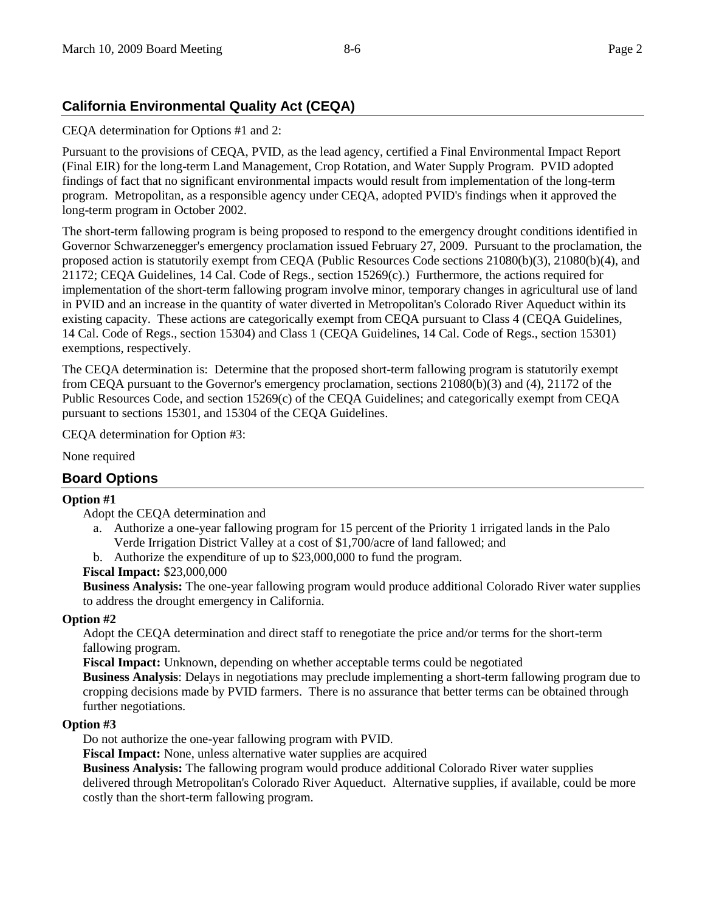# **California Environmental Quality Act (CEQA)**

CEQA determination for Options #1 and 2:

Pursuant to the provisions of CEQA, PVID, as the lead agency, certified a Final Environmental Impact Report (Final EIR) for the long-term Land Management, Crop Rotation, and Water Supply Program. PVID adopted findings of fact that no significant environmental impacts would result from implementation of the long-term program. Metropolitan, as a responsible agency under CEQA, adopted PVID's findings when it approved the long-term program in October 2002.

The short-term fallowing program is being proposed to respond to the emergency drought conditions identified in Governor Schwarzenegger's emergency proclamation issued February 27, 2009. Pursuant to the proclamation, the proposed action is statutorily exempt from CEQA (Public Resources Code sections 21080(b)(3), 21080(b)(4), and 21172; CEQA Guidelines, 14 Cal. Code of Regs., section 15269(c).) Furthermore, the actions required for implementation of the short-term fallowing program involve minor, temporary changes in agricultural use of land in PVID and an increase in the quantity of water diverted in Metropolitan's Colorado River Aqueduct within its existing capacity. These actions are categorically exempt from CEQA pursuant to Class 4 (CEQA Guidelines, 14 Cal. Code of Regs., section 15304) and Class 1 (CEQA Guidelines, 14 Cal. Code of Regs., section 15301) exemptions, respectively.

The CEQA determination is: Determine that the proposed short-term fallowing program is statutorily exempt from CEQA pursuant to the Governor's emergency proclamation, sections 21080(b)(3) and (4), 21172 of the Public Resources Code, and section 15269(c) of the CEQA Guidelines; and categorically exempt from CEQA pursuant to sections 15301, and 15304 of the CEQA Guidelines.

CEQA determination for Option #3:

None required

## **Board Options**

### **Option #1**

Adopt the CEQA determination and

- a. Authorize a one-year fallowing program for 15 percent of the Priority 1 irrigated lands in the Palo Verde Irrigation District Valley at a cost of \$1,700/acre of land fallowed; and
- b. Authorize the expenditure of up to \$23,000,000 to fund the program.

### **Fiscal Impact:** \$23,000,000

**Business Analysis:** The one-year fallowing program would produce additional Colorado River water supplies to address the drought emergency in California.

### **Option #2**

Adopt the CEQA determination and direct staff to renegotiate the price and/or terms for the short-term fallowing program.

**Fiscal Impact:** Unknown, depending on whether acceptable terms could be negotiated

**Business Analysis**: Delays in negotiations may preclude implementing a short-term fallowing program due to cropping decisions made by PVID farmers. There is no assurance that better terms can be obtained through further negotiations.

#### **Option #3**

Do not authorize the one-year fallowing program with PVID.

**Fiscal Impact:** None, unless alternative water supplies are acquired

**Business Analysis:** The fallowing program would produce additional Colorado River water supplies delivered through Metropolitan's Colorado River Aqueduct. Alternative supplies, if available, could be more costly than the short-term fallowing program.